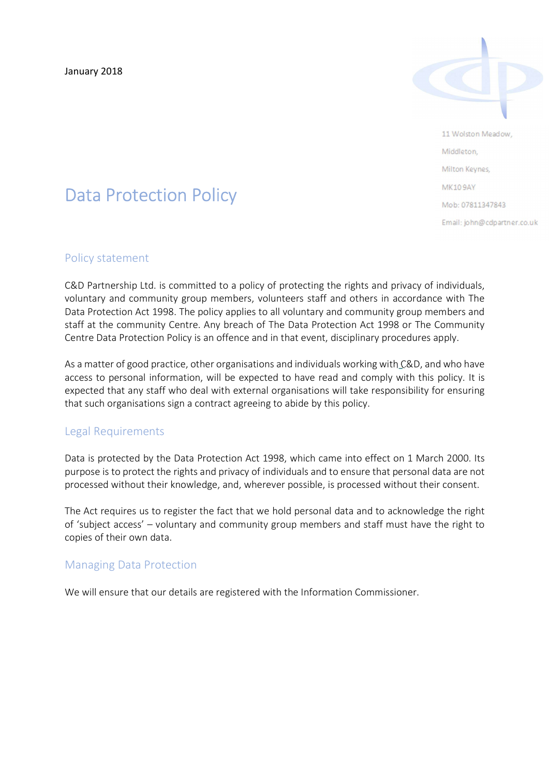January 2018



11 Wolston Meadow, Middleton Milton Keynes, **MK109AY** Mob: 07811347843 Email: john@cdpartner.co.uk

# Data Protection Policy

#### Policy statement

 C&D Partnership Ltd. is committed to a policy of protecting the rights and privacy of individuals, voluntary and community group members, volunteers staff and others in accordance with The Data Protection Act 1998. The policy applies to all voluntary and community group members and staff at the community Centre. Any breach of The Data Protection Act 1998 or The Community Centre Data Protection Policy is an offence and in that event, disciplinary procedures apply.

As a matter of good practice, other organisations and individuals working with C&D, and who have access to personal information, will be expected to have read and comply with this policy. It is expected that any staff who deal with external organisations will take responsibility for ensuring that such organisations sign a contract agreeing to abide by this policy.

# Legal Requirements

 Data is protected by the Data Protection Act 1998, which came into effect on 1 March 2000. Its purpose is to protect the rights and privacy of individuals and to ensure that personal data are not processed without their knowledge, and, wherever possible, is processed without their consent.

The Act requires us to register the fact that we hold personal data and to acknowledge the right of 'subject access' – voluntary and community group members and staff must have the right to copies of their own data.

## Managing Data Protection

We will ensure that our details are registered with the Information Commissioner.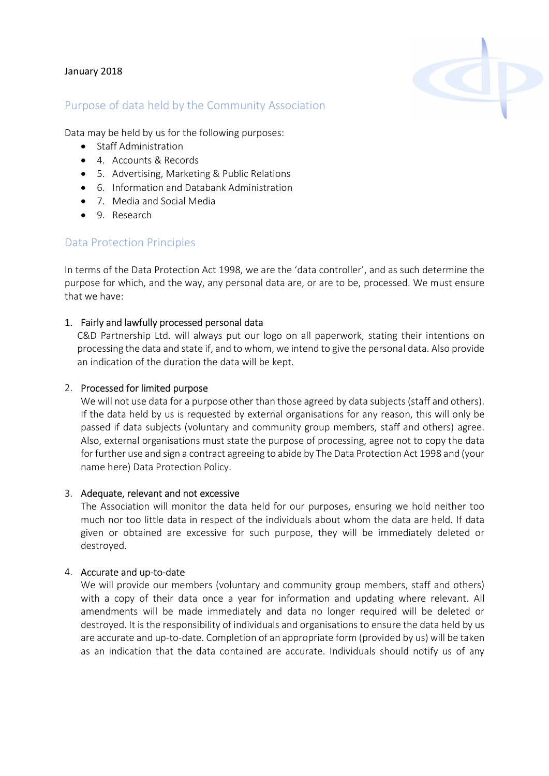#### January 2018



## Purpose of data held by the Community Association

Data may be held by us for the following purposes:

- Staff Administration
- 4. Accounts & Records
- 5. Advertising, Marketing & Public Relations
- 6. Information and Databank Administration
- 7. Media and Social Media
- 9. Research

## Data Protection Principles

In terms of the Data Protection Act 1998, we are the 'data controller', and as such determine the purpose for which, and the way, any personal data are, or are to be, processed. We must ensure that we have:

#### 1. Fairly and lawfully processed personal data

C&D Partnership Ltd. will always put our logo on all paperwork, stating their intentions on processing the data and state if, and to whom, we intend to give the personal data. Also provide an indication of the duration the data will be kept.

#### 2. Processed for limited purpose

We will not use data for a purpose other than those agreed by data subjects (staff and others). If the data held by us is requested by external organisations for any reason, this will only be passed if data subjects (voluntary and community group members, staff and others) agree. Also, external organisations must state the purpose of processing, agree not to copy the data for further use and sign a contract agreeing to abide by The Data Protection Act 1998 and (your name here) Data Protection Policy.

#### 3. Adequate, relevant and not excessive

The Association will monitor the data held for our purposes, ensuring we hold neither too much nor too little data in respect of the individuals about whom the data are held. If data given or obtained are excessive for such purpose, they will be immediately deleted or destroyed.

#### 4. Accurate and up-to-date

We will provide our members (voluntary and community group members, staff and others) with a copy of their data once a year for information and updating where relevant. All amendments will be made immediately and data no longer required will be deleted or destroyed. It is the responsibility of individuals and organisations to ensure the data held by us are accurate and up-to-date. Completion of an appropriate form (provided by us) will be taken as an indication that the data contained are accurate. Individuals should notify us of any